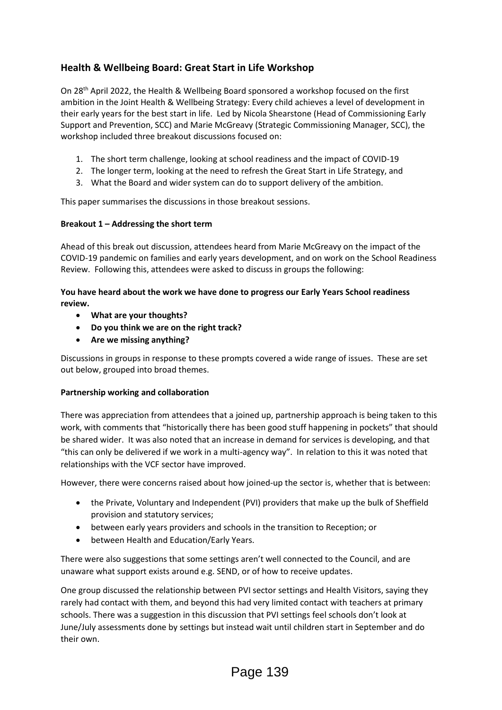# **Health & Wellbeing Board: Great Start in Life Workshop**

On 28th April 2022, the Health & Wellbeing Board sponsored a workshop focused on the first ambition in the Joint Health & Wellbeing Strategy: Every child achieves a level of development in their early years for the best start in life. Led by Nicola Shearstone (Head of Commissioning Early Support and Prevention, SCC) and Marie McGreavy (Strategic Commissioning Manager, SCC), the workshop included three breakout discussions focused on:

- 1. The short term challenge, looking at school readiness and the impact of COVID-19
- 2. The longer term, looking at the need to refresh the Great Start in Life Strategy, and
- 3. What the Board and wider system can do to support delivery of the ambition.

This paper summarises the discussions in those breakout sessions.

## **Breakout 1 – Addressing the short term**

Ahead of this break out discussion, attendees heard from Marie McGreavy on the impact of the COVID-19 pandemic on families and early years development, and on work on the School Readiness Review. Following this, attendees were asked to discuss in groups the following:

#### **You have heard about the work we have done to progress our Early Years School readiness review.**

- **What are your thoughts?**
- **Do you think we are on the right track?**
- **Are we missing anything?**

Discussions in groups in response to these prompts covered a wide range of issues. These are set out below, grouped into broad themes.

## **Partnership working and collaboration**

There was appreciation from attendees that a joined up, partnership approach is being taken to this work, with comments that "historically there has been good stuff happening in pockets" that should be shared wider. It was also noted that an increase in demand for services is developing, and that "this can only be delivered if we work in a multi-agency way". In relation to this it was noted that relationships with the VCF sector have improved.

However, there were concerns raised about how joined-up the sector is, whether that is between:

- the Private, Voluntary and Independent (PVI) providers that make up the bulk of Sheffield provision and statutory services;
- between early years providers and schools in the transition to Reception; or
- between Health and Education/Early Years.

There were also suggestions that some settings aren't well connected to the Council, and are unaware what support exists around e.g. SEND, or of how to receive updates.

One group discussed the relationship between PVI sector settings and Health Visitors, saying they rarely had contact with them, and beyond this had very limited contact with teachers at primary schools. There was a suggestion in this discussion that PVI settings feel schools don't look at June/July assessments done by settings but instead wait until children start in September and do their own.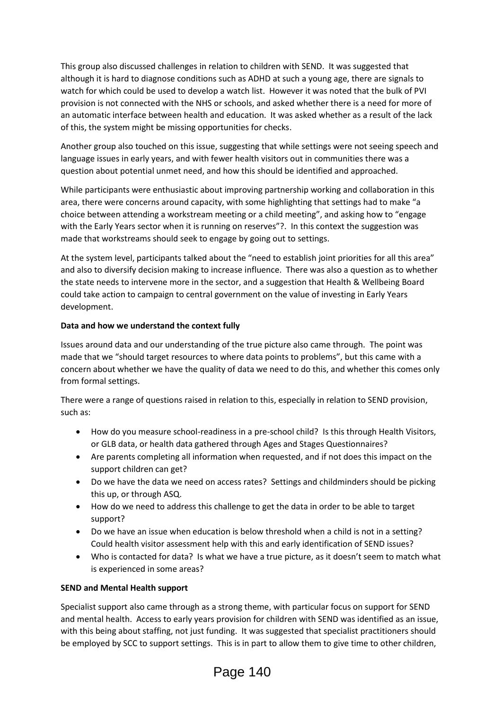This group also discussed challenges in relation to children with SEND. It was suggested that although it is hard to diagnose conditions such as ADHD at such a young age, there are signals to watch for which could be used to develop a watch list. However it was noted that the bulk of PVI provision is not connected with the NHS or schools, and asked whether there is a need for more of an automatic interface between health and education. It was asked whether as a result of the lack of this, the system might be missing opportunities for checks.

Another group also touched on this issue, suggesting that while settings were not seeing speech and language issues in early years, and with fewer health visitors out in communities there was a question about potential unmet need, and how this should be identified and approached.

While participants were enthusiastic about improving partnership working and collaboration in this area, there were concerns around capacity, with some highlighting that settings had to make "a choice between attending a workstream meeting or a child meeting", and asking how to "engage with the Early Years sector when it is running on reserves"?. In this context the suggestion was made that workstreams should seek to engage by going out to settings.

At the system level, participants talked about the "need to establish joint priorities for all this area" and also to diversify decision making to increase influence. There was also a question as to whether the state needs to intervene more in the sector, and a suggestion that Health & Wellbeing Board could take action to campaign to central government on the value of investing in Early Years development.

#### **Data and how we understand the context fully**

Issues around data and our understanding of the true picture also came through. The point was made that we "should target resources to where data points to problems", but this came with a concern about whether we have the quality of data we need to do this, and whether this comes only from formal settings.

There were a range of questions raised in relation to this, especially in relation to SEND provision, such as:

- How do you measure school-readiness in a pre-school child? Is this through Health Visitors, or GLB data, or health data gathered through Ages and Stages Questionnaires?
- Are parents completing all information when requested, and if not does this impact on the support children can get?
- Do we have the data we need on access rates? Settings and childminders should be picking this up, or through ASQ.
- How do we need to address this challenge to get the data in order to be able to target support?
- Do we have an issue when education is below threshold when a child is not in a setting? Could health visitor assessment help with this and early identification of SEND issues?
- Who is contacted for data? Is what we have a true picture, as it doesn't seem to match what is experienced in some areas?

#### **SEND and Mental Health support**

Specialist support also came through as a strong theme, with particular focus on support for SEND and mental health. Access to early years provision for children with SEND was identified as an issue, with this being about staffing, not just funding. It was suggested that specialist practitioners should be employed by SCC to support settings. This is in part to allow them to give time to other children,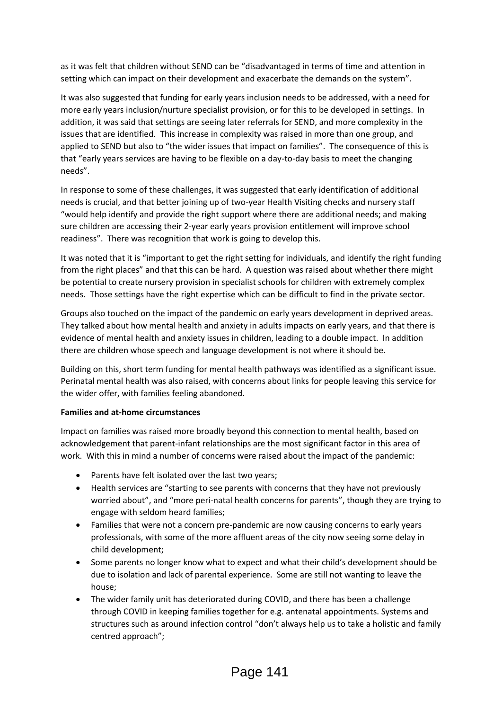as it was felt that children without SEND can be "disadvantaged in terms of time and attention in setting which can impact on their development and exacerbate the demands on the system".

It was also suggested that funding for early years inclusion needs to be addressed, with a need for more early years inclusion/nurture specialist provision, or for this to be developed in settings. In addition, it was said that settings are seeing later referrals for SEND, and more complexity in the issues that are identified. This increase in complexity was raised in more than one group, and applied to SEND but also to "the wider issues that impact on families". The consequence of this is that "early years services are having to be flexible on a day-to-day basis to meet the changing needs".

In response to some of these challenges, it was suggested that early identification of additional needs is crucial, and that better joining up of two-year Health Visiting checks and nursery staff "would help identify and provide the right support where there are additional needs; and making sure children are accessing their 2-year early years provision entitlement will improve school readiness". There was recognition that work is going to develop this.

It was noted that it is "important to get the right setting for individuals, and identify the right funding from the right places" and that this can be hard. A question was raised about whether there might be potential to create nursery provision in specialist schools for children with extremely complex needs. Those settings have the right expertise which can be difficult to find in the private sector.

Groups also touched on the impact of the pandemic on early years development in deprived areas. They talked about how mental health and anxiety in adults impacts on early years, and that there is evidence of mental health and anxiety issues in children, leading to a double impact. In addition there are children whose speech and language development is not where it should be.

Building on this, short term funding for mental health pathways was identified as a significant issue. Perinatal mental health was also raised, with concerns about links for people leaving this service for the wider offer, with families feeling abandoned.

## **Families and at-home circumstances**

Impact on families was raised more broadly beyond this connection to mental health, based on acknowledgement that parent-infant relationships are the most significant factor in this area of work. With this in mind a number of concerns were raised about the impact of the pandemic:

- Parents have felt isolated over the last two years;
- Health services are "starting to see parents with concerns that they have not previously worried about", and "more peri-natal health concerns for parents", though they are trying to engage with seldom heard families;
- Families that were not a concern pre-pandemic are now causing concerns to early years professionals, with some of the more affluent areas of the city now seeing some delay in child development;
- Some parents no longer know what to expect and what their child's development should be due to isolation and lack of parental experience. Some are still not wanting to leave the house;
- The wider family unit has deteriorated during COVID, and there has been a challenge through COVID in keeping families together for e.g. antenatal appointments. Systems and structures such as around infection control "don't always help us to take a holistic and family centred approach";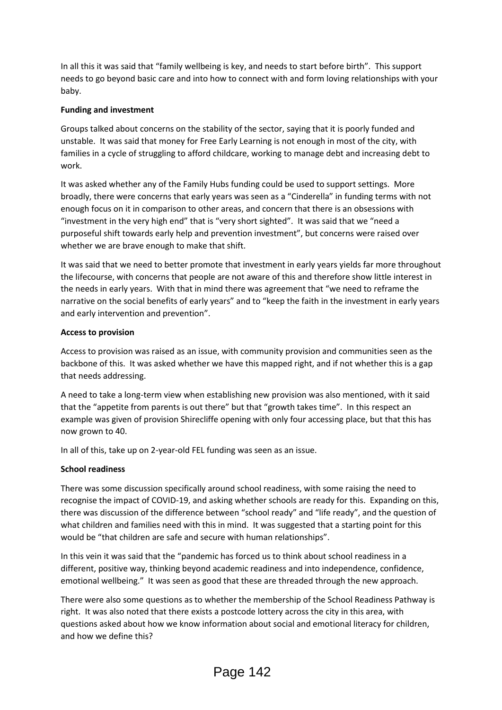In all this it was said that "family wellbeing is key, and needs to start before birth". This support needs to go beyond basic care and into how to connect with and form loving relationships with your baby.

#### **Funding and investment**

Groups talked about concerns on the stability of the sector, saying that it is poorly funded and unstable. It was said that money for Free Early Learning is not enough in most of the city, with families in a cycle of struggling to afford childcare, working to manage debt and increasing debt to work.

It was asked whether any of the Family Hubs funding could be used to support settings. More broadly, there were concerns that early years was seen as a "Cinderella" in funding terms with not enough focus on it in comparison to other areas, and concern that there is an obsessions with "investment in the very high end" that is "very short sighted". It was said that we "need a purposeful shift towards early help and prevention investment", but concerns were raised over whether we are brave enough to make that shift.

It was said that we need to better promote that investment in early years yields far more throughout the lifecourse, with concerns that people are not aware of this and therefore show little interest in the needs in early years. With that in mind there was agreement that "we need to reframe the narrative on the social benefits of early years" and to "keep the faith in the investment in early years and early intervention and prevention".

#### **Access to provision**

Access to provision was raised as an issue, with community provision and communities seen as the backbone of this. It was asked whether we have this mapped right, and if not whether this is a gap that needs addressing.

A need to take a long-term view when establishing new provision was also mentioned, with it said that the "appetite from parents is out there" but that "growth takes time". In this respect an example was given of provision Shirecliffe opening with only four accessing place, but that this has now grown to 40.

In all of this, take up on 2-year-old FEL funding was seen as an issue.

#### **School readiness**

There was some discussion specifically around school readiness, with some raising the need to recognise the impact of COVID-19, and asking whether schools are ready for this. Expanding on this, there was discussion of the difference between "school ready" and "life ready", and the question of what children and families need with this in mind. It was suggested that a starting point for this would be "that children are safe and secure with human relationships".

In this vein it was said that the "pandemic has forced us to think about school readiness in a different, positive way, thinking beyond academic readiness and into independence, confidence, emotional wellbeing." It was seen as good that these are threaded through the new approach.

There were also some questions as to whether the membership of the School Readiness Pathway is right. It was also noted that there exists a postcode lottery across the city in this area, with questions asked about how we know information about social and emotional literacy for children, and how we define this?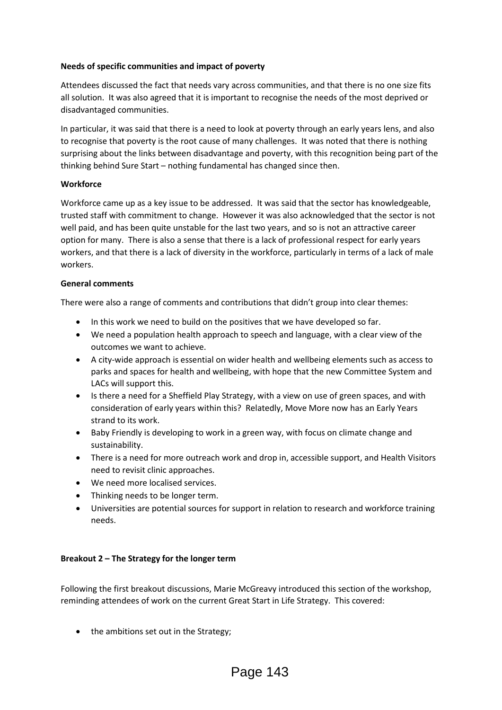## **Needs of specific communities and impact of poverty**

Attendees discussed the fact that needs vary across communities, and that there is no one size fits all solution. It was also agreed that it is important to recognise the needs of the most deprived or disadvantaged communities.

In particular, it was said that there is a need to look at poverty through an early years lens, and also to recognise that poverty is the root cause of many challenges. It was noted that there is nothing surprising about the links between disadvantage and poverty, with this recognition being part of the thinking behind Sure Start – nothing fundamental has changed since then.

#### **Workforce**

Workforce came up as a key issue to be addressed. It was said that the sector has knowledgeable, trusted staff with commitment to change. However it was also acknowledged that the sector is not well paid, and has been quite unstable for the last two years, and so is not an attractive career option for many. There is also a sense that there is a lack of professional respect for early years workers, and that there is a lack of diversity in the workforce, particularly in terms of a lack of male workers.

#### **General comments**

There were also a range of comments and contributions that didn't group into clear themes:

- In this work we need to build on the positives that we have developed so far.
- We need a population health approach to speech and language, with a clear view of the outcomes we want to achieve.
- A city-wide approach is essential on wider health and wellbeing elements such as access to parks and spaces for health and wellbeing, with hope that the new Committee System and LACs will support this.
- Is there a need for a Sheffield Play Strategy, with a view on use of green spaces, and with consideration of early years within this? Relatedly, Move More now has an Early Years strand to its work.
- Baby Friendly is developing to work in a green way, with focus on climate change and sustainability.
- There is a need for more outreach work and drop in, accessible support, and Health Visitors need to revisit clinic approaches.
- We need more localised services.
- Thinking needs to be longer term.
- Universities are potential sources for support in relation to research and workforce training needs.

## **Breakout 2 – The Strategy for the longer term**

Following the first breakout discussions, Marie McGreavy introduced this section of the workshop, reminding attendees of work on the current Great Start in Life Strategy. This covered:

• the ambitions set out in the Strategy;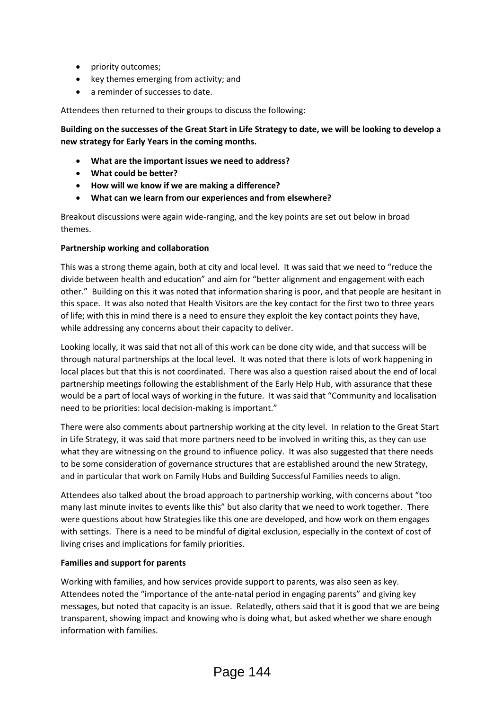- priority outcomes;
- key themes emerging from activity; and
- a reminder of successes to date.

Attendees then returned to their groups to discuss the following:

**Building on the successes of the Great Start in Life Strategy to date, we will be looking to develop a new strategy for Early Years in the coming months.**

- **What are the important issues we need to address?**
- **What could be better?**
- **How will we know if we are making a difference?**
- **What can we learn from our experiences and from elsewhere?**

Breakout discussions were again wide-ranging, and the key points are set out below in broad themes.

## **Partnership working and collaboration**

This was a strong theme again, both at city and local level. It was said that we need to "reduce the divide between health and education" and aim for "better alignment and engagement with each other." Building on this it was noted that information sharing is poor, and that people are hesitant in this space. It was also noted that Health Visitors are the key contact for the first two to three years of life; with this in mind there is a need to ensure they exploit the key contact points they have, while addressing any concerns about their capacity to deliver.

Looking locally, it was said that not all of this work can be done city wide, and that success will be through natural partnerships at the local level. It was noted that there is lots of work happening in local places but that this is not coordinated. There was also a question raised about the end of local partnership meetings following the establishment of the Early Help Hub, with assurance that these would be a part of local ways of working in the future. It was said that "Community and localisation need to be priorities: local decision-making is important."

There were also comments about partnership working at the city level. In relation to the Great Start in Life Strategy, it was said that more partners need to be involved in writing this, as they can use what they are witnessing on the ground to influence policy. It was also suggested that there needs to be some consideration of governance structures that are established around the new Strategy, and in particular that work on Family Hubs and Building Successful Families needs to align.

Attendees also talked about the broad approach to partnership working, with concerns about "too many last minute invites to events like this" but also clarity that we need to work together. There were questions about how Strategies like this one are developed, and how work on them engages with settings. There is a need to be mindful of digital exclusion, especially in the context of cost of living crises and implications for family priorities.

## **Families and support for parents**

Working with families, and how services provide support to parents, was also seen as key. Attendees noted the "importance of the ante-natal period in engaging parents" and giving key messages, but noted that capacity is an issue. Relatedly, others said that it is good that we are being transparent, showing impact and knowing who is doing what, but asked whether we share enough information with families.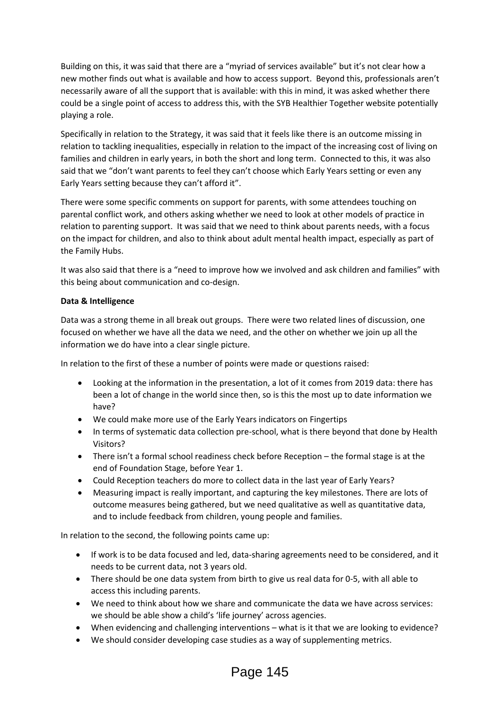Building on this, it was said that there are a "myriad of services available" but it's not clear how a new mother finds out what is available and how to access support. Beyond this, professionals aren't necessarily aware of all the support that is available: with this in mind, it was asked whether there could be a single point of access to address this, with the SYB Healthier Together website potentially playing a role.

Specifically in relation to the Strategy, it was said that it feels like there is an outcome missing in relation to tackling inequalities, especially in relation to the impact of the increasing cost of living on families and children in early years, in both the short and long term. Connected to this, it was also said that we "don't want parents to feel they can't choose which Early Years setting or even any Early Years setting because they can't afford it".

There were some specific comments on support for parents, with some attendees touching on parental conflict work, and others asking whether we need to look at other models of practice in relation to parenting support. It was said that we need to think about parents needs, with a focus on the impact for children, and also to think about adult mental health impact, especially as part of the Family Hubs.

It was also said that there is a "need to improve how we involved and ask children and families" with this being about communication and co-design.

#### **Data & Intelligence**

Data was a strong theme in all break out groups. There were two related lines of discussion, one focused on whether we have all the data we need, and the other on whether we join up all the information we do have into a clear single picture.

In relation to the first of these a number of points were made or questions raised:

- Looking at the information in the presentation, a lot of it comes from 2019 data: there has been a lot of change in the world since then, so is this the most up to date information we have?
- We could make more use of the Early Years indicators on Fingertips
- In terms of systematic data collection pre-school, what is there beyond that done by Health Visitors?
- There isn't a formal school readiness check before Reception the formal stage is at the end of Foundation Stage, before Year 1.
- Could Reception teachers do more to collect data in the last year of Early Years?
- Measuring impact is really important, and capturing the key milestones. There are lots of outcome measures being gathered, but we need qualitative as well as quantitative data, and to include feedback from children, young people and families.

In relation to the second, the following points came up:

- If work is to be data focused and led, data-sharing agreements need to be considered, and it needs to be current data, not 3 years old.
- There should be one data system from birth to give us real data for 0-5, with all able to access this including parents.
- We need to think about how we share and communicate the data we have across services: we should be able show a child's 'life journey' across agencies.
- When evidencing and challenging interventions what is it that we are looking to evidence?
- We should consider developing case studies as a way of supplementing metrics.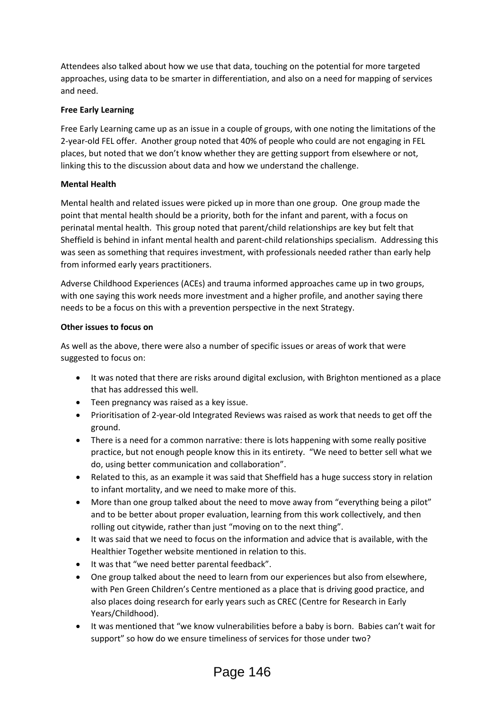Attendees also talked about how we use that data, touching on the potential for more targeted approaches, using data to be smarter in differentiation, and also on a need for mapping of services and need.

## **Free Early Learning**

Free Early Learning came up as an issue in a couple of groups, with one noting the limitations of the 2-year-old FEL offer. Another group noted that 40% of people who could are not engaging in FEL places, but noted that we don't know whether they are getting support from elsewhere or not, linking this to the discussion about data and how we understand the challenge.

## **Mental Health**

Mental health and related issues were picked up in more than one group. One group made the point that mental health should be a priority, both for the infant and parent, with a focus on perinatal mental health. This group noted that parent/child relationships are key but felt that Sheffield is behind in infant mental health and parent-child relationships specialism. Addressing this was seen as something that requires investment, with professionals needed rather than early help from informed early years practitioners.

Adverse Childhood Experiences (ACEs) and trauma informed approaches came up in two groups, with one saying this work needs more investment and a higher profile, and another saying there needs to be a focus on this with a prevention perspective in the next Strategy.

#### **Other issues to focus on**

As well as the above, there were also a number of specific issues or areas of work that were suggested to focus on:

- It was noted that there are risks around digital exclusion, with Brighton mentioned as a place that has addressed this well.
- Teen pregnancy was raised as a key issue.
- Prioritisation of 2-year-old Integrated Reviews was raised as work that needs to get off the ground.
- There is a need for a common narrative: there is lots happening with some really positive practice, but not enough people know this in its entirety. "We need to better sell what we do, using better communication and collaboration".
- Related to this, as an example it was said that Sheffield has a huge success story in relation to infant mortality, and we need to make more of this.
- More than one group talked about the need to move away from "everything being a pilot" and to be better about proper evaluation, learning from this work collectively, and then rolling out citywide, rather than just "moving on to the next thing".
- It was said that we need to focus on the information and advice that is available, with the Healthier Together website mentioned in relation to this.
- $\bullet$  It was that "we need better parental feedback".
- One group talked about the need to learn from our experiences but also from elsewhere, with Pen Green Children's Centre mentioned as a place that is driving good practice, and also places doing research for early years such as CREC (Centre for Research in Early Years/Childhood).
- It was mentioned that "we know vulnerabilities before a baby is born. Babies can't wait for support" so how do we ensure timeliness of services for those under two?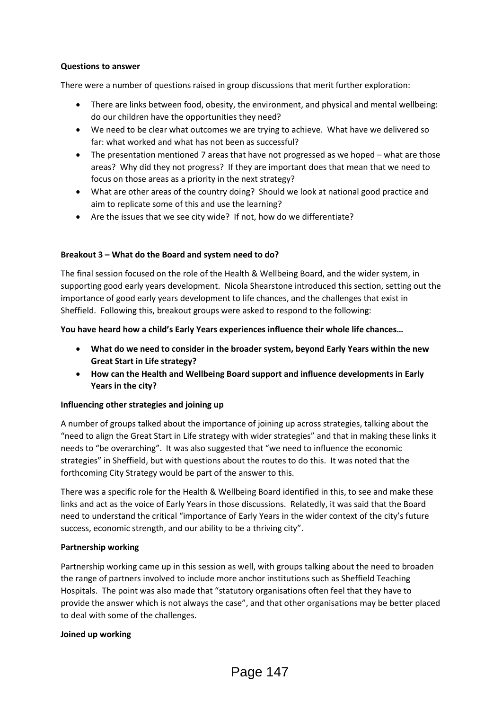#### **Questions to answer**

There were a number of questions raised in group discussions that merit further exploration:

- There are links between food, obesity, the environment, and physical and mental wellbeing: do our children have the opportunities they need?
- We need to be clear what outcomes we are trying to achieve. What have we delivered so far: what worked and what has not been as successful?
- The presentation mentioned 7 areas that have not progressed as we hoped what are those areas? Why did they not progress? If they are important does that mean that we need to focus on those areas as a priority in the next strategy?
- What are other areas of the country doing? Should we look at national good practice and aim to replicate some of this and use the learning?
- Are the issues that we see city wide? If not, how do we differentiate?

## **Breakout 3 – What do the Board and system need to do?**

The final session focused on the role of the Health & Wellbeing Board, and the wider system, in supporting good early years development. Nicola Shearstone introduced this section, setting out the importance of good early years development to life chances, and the challenges that exist in Sheffield. Following this, breakout groups were asked to respond to the following:

#### **You have heard how a child's Early Years experiences influence their whole life chances…**

- **What do we need to consider in the broader system, beyond Early Years within the new Great Start in Life strategy?**
- **How can the Health and Wellbeing Board support and influence developments in Early Years in the city?**

## **Influencing other strategies and joining up**

A number of groups talked about the importance of joining up across strategies, talking about the "need to align the Great Start in Life strategy with wider strategies" and that in making these links it needs to "be overarching". It was also suggested that "we need to influence the economic strategies" in Sheffield, but with questions about the routes to do this. It was noted that the forthcoming City Strategy would be part of the answer to this.

There was a specific role for the Health & Wellbeing Board identified in this, to see and make these links and act as the voice of Early Years in those discussions. Relatedly, it was said that the Board need to understand the critical "importance of Early Years in the wider context of the city's future success, economic strength, and our ability to be a thriving city".

## **Partnership working**

Partnership working came up in this session as well, with groups talking about the need to broaden the range of partners involved to include more anchor institutions such as Sheffield Teaching Hospitals. The point was also made that "statutory organisations often feel that they have to provide the answer which is not always the case", and that other organisations may be better placed to deal with some of the challenges.

#### **Joined up working**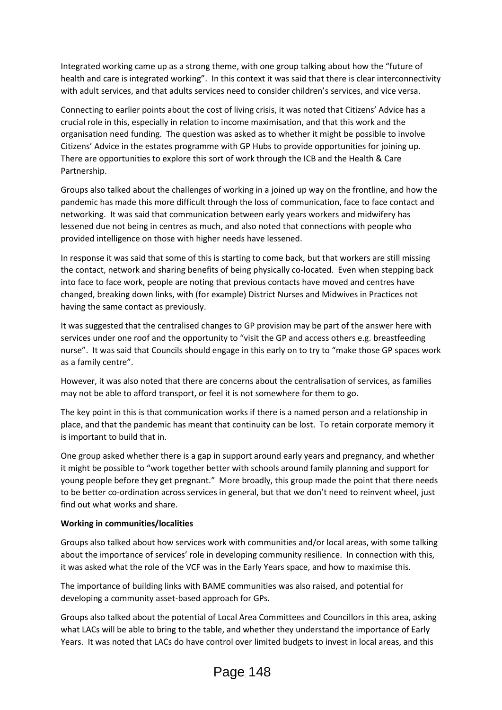Integrated working came up as a strong theme, with one group talking about how the "future of health and care is integrated working". In this context it was said that there is clear interconnectivity with adult services, and that adults services need to consider children's services, and vice versa.

Connecting to earlier points about the cost of living crisis, it was noted that Citizens' Advice has a crucial role in this, especially in relation to income maximisation, and that this work and the organisation need funding. The question was asked as to whether it might be possible to involve Citizens' Advice in the estates programme with GP Hubs to provide opportunities for joining up. There are opportunities to explore this sort of work through the ICB and the Health & Care Partnership.

Groups also talked about the challenges of working in a joined up way on the frontline, and how the pandemic has made this more difficult through the loss of communication, face to face contact and networking. It was said that communication between early years workers and midwifery has lessened due not being in centres as much, and also noted that connections with people who provided intelligence on those with higher needs have lessened.

In response it was said that some of this is starting to come back, but that workers are still missing the contact, network and sharing benefits of being physically co-located. Even when stepping back into face to face work, people are noting that previous contacts have moved and centres have changed, breaking down links, with (for example) District Nurses and Midwives in Practices not having the same contact as previously.

It was suggested that the centralised changes to GP provision may be part of the answer here with services under one roof and the opportunity to "visit the GP and access others e.g. breastfeeding nurse". It was said that Councils should engage in this early on to try to "make those GP spaces work as a family centre".

However, it was also noted that there are concerns about the centralisation of services, as families may not be able to afford transport, or feel it is not somewhere for them to go.

The key point in this is that communication works if there is a named person and a relationship in place, and that the pandemic has meant that continuity can be lost. To retain corporate memory it is important to build that in.

One group asked whether there is a gap in support around early years and pregnancy, and whether it might be possible to "work together better with schools around family planning and support for young people before they get pregnant." More broadly, this group made the point that there needs to be better co-ordination across services in general, but that we don't need to reinvent wheel, just find out what works and share.

## **Working in communities/localities**

Groups also talked about how services work with communities and/or local areas, with some talking about the importance of services' role in developing community resilience. In connection with this, it was asked what the role of the VCF was in the Early Years space, and how to maximise this.

The importance of building links with BAME communities was also raised, and potential for developing a community asset-based approach for GPs.

Groups also talked about the potential of Local Area Committees and Councillors in this area, asking what LACs will be able to bring to the table, and whether they understand the importance of Early Years. It was noted that LACs do have control over limited budgets to invest in local areas, and this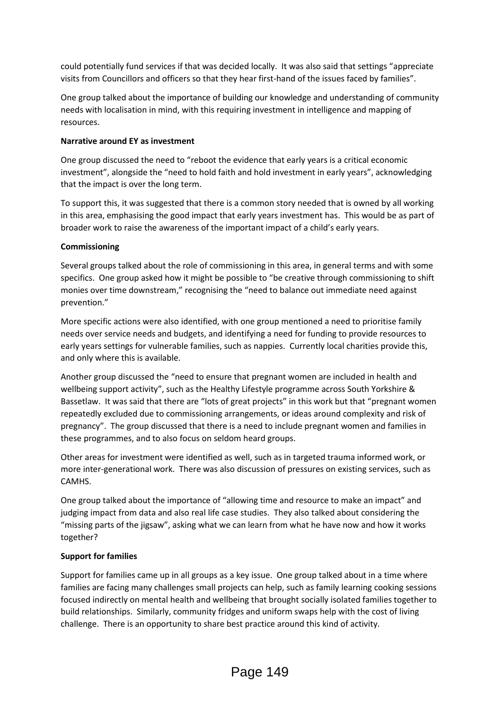could potentially fund services if that was decided locally. It was also said that settings "appreciate visits from Councillors and officers so that they hear first-hand of the issues faced by families".

One group talked about the importance of building our knowledge and understanding of community needs with localisation in mind, with this requiring investment in intelligence and mapping of resources.

## **Narrative around EY as investment**

One group discussed the need to "reboot the evidence that early years is a critical economic investment", alongside the "need to hold faith and hold investment in early years", acknowledging that the impact is over the long term.

To support this, it was suggested that there is a common story needed that is owned by all working in this area, emphasising the good impact that early years investment has. This would be as part of broader work to raise the awareness of the important impact of a child's early years.

#### **Commissioning**

Several groups talked about the role of commissioning in this area, in general terms and with some specifics. One group asked how it might be possible to "be creative through commissioning to shift monies over time downstream," recognising the "need to balance out immediate need against prevention."

More specific actions were also identified, with one group mentioned a need to prioritise family needs over service needs and budgets, and identifying a need for funding to provide resources to early years settings for vulnerable families, such as nappies. Currently local charities provide this, and only where this is available.

Another group discussed the "need to ensure that pregnant women are included in health and wellbeing support activity", such as the Healthy Lifestyle programme across South Yorkshire & Bassetlaw. It was said that there are "lots of great projects" in this work but that "pregnant women repeatedly excluded due to commissioning arrangements, or ideas around complexity and risk of pregnancy". The group discussed that there is a need to include pregnant women and families in these programmes, and to also focus on seldom heard groups.

Other areas for investment were identified as well, such as in targeted trauma informed work, or more inter-generational work. There was also discussion of pressures on existing services, such as CAMHS.

One group talked about the importance of "allowing time and resource to make an impact" and judging impact from data and also real life case studies. They also talked about considering the "missing parts of the jigsaw", asking what we can learn from what he have now and how it works together?

## **Support for families**

Support for families came up in all groups as a key issue. One group talked about in a time where families are facing many challenges small projects can help, such as family learning cooking sessions focused indirectly on mental health and wellbeing that brought socially isolated families together to build relationships. Similarly, community fridges and uniform swaps help with the cost of living challenge. There is an opportunity to share best practice around this kind of activity.